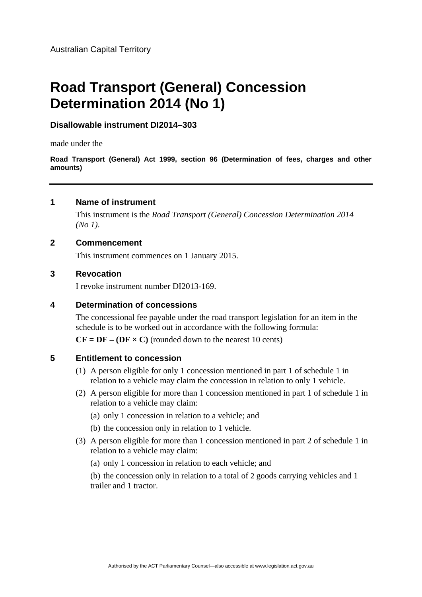# **Road Transport (General) Concession Determination 2014 (No 1)**

# **Disallowable instrument DI2014–303**

made under the

**Road Transport (General) Act 1999, section 96 (Determination of fees, charges and other amounts)**

# **1 Name of instrument**

This instrument is the *Road Transport (General) Concession Determination 2014 (No 1)*.

## **2 Commencement**

This instrument commences on 1 January 2015.

### **3 Revocation**

I revoke instrument number DI2013-169.

#### **4 Determination of concessions**

The concessional fee payable under the road transport legislation for an item in the schedule is to be worked out in accordance with the following formula:

 $CF = DF - (DF \times C)$  (rounded down to the nearest 10 cents)

## **5 Entitlement to concession**

- (1) A person eligible for only 1 concession mentioned in part 1 of schedule 1 in relation to a vehicle may claim the concession in relation to only 1 vehicle.
- (2) A person eligible for more than 1 concession mentioned in part 1 of schedule 1 in relation to a vehicle may claim:
	- (a) only 1 concession in relation to a vehicle; and
	- (b) the concession only in relation to 1 vehicle.
- (3) A person eligible for more than 1 concession mentioned in part 2 of schedule 1 in relation to a vehicle may claim:
	- (a) only 1 concession in relation to each vehicle; and

 (b) the concession only in relation to a total of 2 goods carrying vehicles and 1 trailer and 1 tractor.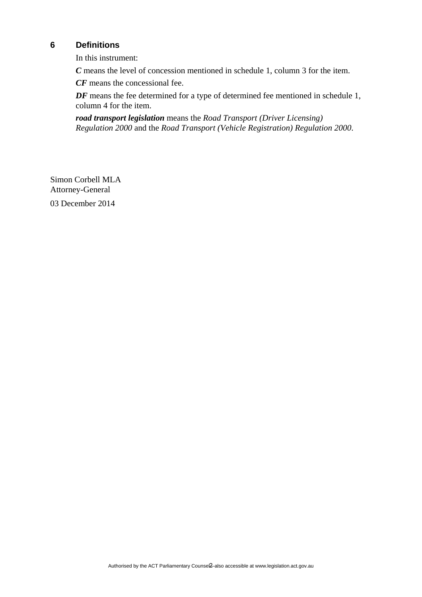# **6 Definitions**

In this instrument:

*C* means the level of concession mentioned in schedule 1, column 3 for the item.

*CF* means the concessional fee.

*DF* means the fee determined for a type of determined fee mentioned in schedule 1, column 4 for the item.

*road transport legislation* means the *Road Transport (Driver Licensing) Regulation 2000* and the *Road Transport (Vehicle Registration) Regulation 2000*.

Simon Corbell MLA Attorney-General 03 December 2014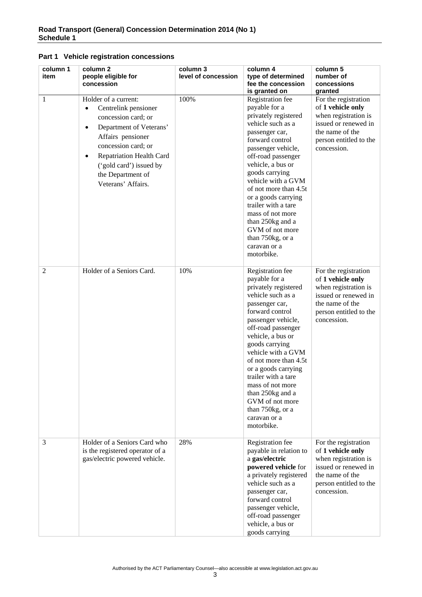| Part 1 Vehicle registration concessions |
|-----------------------------------------|
|-----------------------------------------|

| column 1<br>item | column 2<br>people eligible for<br>concession                                                                                                                                                                                                                                              | column 3<br>level of concession | column 4<br>type of determined<br>fee the concession<br>is granted on                                                                                                                                                                                                                                                                                                                                            | column 5<br>number of<br>concessions<br>granted                                                                                                       |
|------------------|--------------------------------------------------------------------------------------------------------------------------------------------------------------------------------------------------------------------------------------------------------------------------------------------|---------------------------------|------------------------------------------------------------------------------------------------------------------------------------------------------------------------------------------------------------------------------------------------------------------------------------------------------------------------------------------------------------------------------------------------------------------|-------------------------------------------------------------------------------------------------------------------------------------------------------|
| 1                | Holder of a current:<br>Centrelink pensioner<br>$\bullet$<br>concession card; or<br>Department of Veterans'<br>$\bullet$<br>Affairs pensioner<br>concession card; or<br><b>Repatriation Health Card</b><br>$\bullet$<br>('gold card') issued by<br>the Department of<br>Veterans' Affairs. | 100%                            | Registration fee<br>payable for a<br>privately registered<br>vehicle such as a<br>passenger car,<br>forward control<br>passenger vehicle,<br>off-road passenger<br>vehicle, a bus or<br>goods carrying<br>vehicle with a GVM<br>of not more than 4.5t<br>or a goods carrying<br>trailer with a tare<br>mass of not more<br>than 250kg and a<br>GVM of not more<br>than 750kg, or a<br>caravan or a<br>motorbike. | For the registration<br>of 1 vehicle only<br>when registration is<br>issued or renewed in<br>the name of the<br>person entitled to the<br>concession. |
| $\overline{2}$   | Holder of a Seniors Card.                                                                                                                                                                                                                                                                  | 10%                             | Registration fee<br>payable for a<br>privately registered<br>vehicle such as a<br>passenger car,<br>forward control<br>passenger vehicle,<br>off-road passenger<br>vehicle, a bus or<br>goods carrying<br>vehicle with a GVM<br>of not more than 4.5t<br>or a goods carrying<br>trailer with a tare<br>mass of not more<br>than 250kg and a<br>GVM of not more<br>than 750kg, or a<br>caravan or a<br>motorbike. | For the registration<br>of 1 vehicle only<br>when registration is<br>issued or renewed in<br>the name of the<br>person entitled to the<br>concession. |
| 3                | Holder of a Seniors Card who<br>is the registered operator of a<br>gas/electric powered vehicle.                                                                                                                                                                                           | 28%                             | Registration fee<br>payable in relation to<br>a gas/electric<br>powered vehicle for<br>a privately registered<br>vehicle such as a<br>passenger car,<br>forward control<br>passenger vehicle,<br>off-road passenger<br>vehicle, a bus or<br>goods carrying                                                                                                                                                       | For the registration<br>of 1 vehicle only<br>when registration is<br>issued or renewed in<br>the name of the<br>person entitled to the<br>concession. |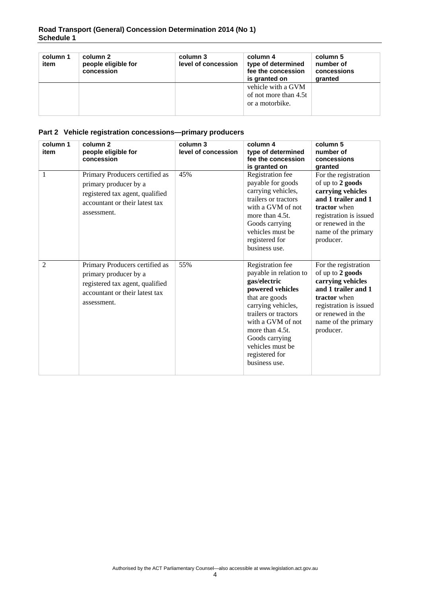| column 1<br>item | column 2<br>people eligible for<br>concession | column 3<br>level of concession | column 4<br>type of determined<br>fee the concession<br>is granted on | column 5<br>number of<br>concessions<br>granted |
|------------------|-----------------------------------------------|---------------------------------|-----------------------------------------------------------------------|-------------------------------------------------|
|                  |                                               |                                 | vehicle with a GVM<br>of not more than 4.5t<br>or a motorbike.        |                                                 |

## **Part 2 Vehicle registration concessions—primary producers**

| column 1<br>item | column <sub>2</sub><br>people eligible for<br>concession                                                                                    | column 3<br>level of concession | column 4<br>type of determined<br>fee the concession<br>is granted on                                                                                                                                                                                           | column 5<br>number of<br>concessions<br>granted                                                                                                                                         |
|------------------|---------------------------------------------------------------------------------------------------------------------------------------------|---------------------------------|-----------------------------------------------------------------------------------------------------------------------------------------------------------------------------------------------------------------------------------------------------------------|-----------------------------------------------------------------------------------------------------------------------------------------------------------------------------------------|
| $\mathbf{1}$     | Primary Producers certified as<br>primary producer by a<br>registered tax agent, qualified<br>accountant or their latest tax<br>assessment. | 45%                             | Registration fee<br>payable for goods<br>carrying vehicles,<br>trailers or tractors<br>with a GVM of not<br>more than 4.5t.<br>Goods carrying<br>vehicles must be<br>registered for<br>business use.                                                            | For the registration<br>of up to 2 goods<br>carrying vehicles<br>and 1 trailer and 1<br>tractor when<br>registration is issued<br>or renewed in the<br>name of the primary<br>producer. |
| $\overline{2}$   | Primary Producers certified as<br>primary producer by a<br>registered tax agent, qualified<br>accountant or their latest tax<br>assessment. | 55%                             | Registration fee<br>payable in relation to<br>gas/electric<br>powered vehicles<br>that are goods<br>carrying vehicles,<br>trailers or tractors<br>with a GVM of not<br>more than 4.5t.<br>Goods carrying<br>vehicles must be<br>registered for<br>business use. | For the registration<br>of up to 2 goods<br>carrying vehicles<br>and 1 trailer and 1<br>tractor when<br>registration is issued<br>or renewed in the<br>name of the primary<br>producer. |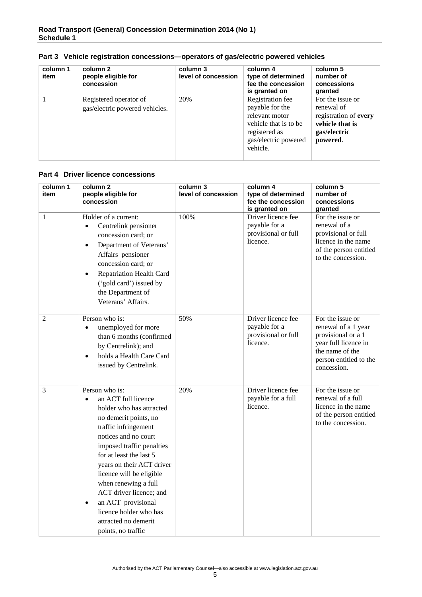| column 1<br>item | column 2<br>people eligible for<br>concession            | column 3<br>level of concession | column 4<br>type of determined<br>fee the concession<br>is granted on                                                               | column 5<br>number of<br>concessions<br>granted                                                        |
|------------------|----------------------------------------------------------|---------------------------------|-------------------------------------------------------------------------------------------------------------------------------------|--------------------------------------------------------------------------------------------------------|
|                  | Registered operator of<br>gas/electric powered vehicles. | 20%                             | Registration fee<br>payable for the<br>relevant motor<br>vehicle that is to be<br>registered as<br>gas/electric powered<br>vehicle. | For the issue or<br>renewal of<br>registration of every<br>vehicle that is<br>gas/electric<br>powered. |

#### **Part 3 Vehicle registration concessions—operators of gas/electric powered vehicles**

#### **Part 4 Driver licence concessions**

| column 1<br>item | column 2<br>people eligible for<br>concession                                                                                                                                                                                                                                                                                                                                                                                          | column 3<br>level of concession | column 4<br>type of determined<br>fee the concession<br>is granted on  | column 5<br>number of<br>concessions<br>granted                                                                                                   |
|------------------|----------------------------------------------------------------------------------------------------------------------------------------------------------------------------------------------------------------------------------------------------------------------------------------------------------------------------------------------------------------------------------------------------------------------------------------|---------------------------------|------------------------------------------------------------------------|---------------------------------------------------------------------------------------------------------------------------------------------------|
| 1                | Holder of a current:<br>Centrelink pensioner<br>$\bullet$<br>concession card; or<br>Department of Veterans'<br>$\bullet$<br>Affairs pensioner<br>concession card; or<br><b>Repatriation Health Card</b><br>$\bullet$<br>('gold card') issued by<br>the Department of<br>Veterans' Affairs.                                                                                                                                             | 100%                            | Driver licence fee<br>payable for a<br>provisional or full<br>licence. | For the issue or<br>renewal of a<br>provisional or full<br>licence in the name<br>of the person entitled<br>to the concession.                    |
| $\overline{2}$   | Person who is:<br>unemployed for more<br>than 6 months (confirmed<br>by Centrelink); and<br>holds a Health Care Card<br>$\bullet$<br>issued by Centrelink.                                                                                                                                                                                                                                                                             | 50%                             | Driver licence fee<br>payable for a<br>provisional or full<br>licence. | For the issue or<br>renewal of a 1 year<br>provisional or a 1<br>year full licence in<br>the name of the<br>person entitled to the<br>concession. |
| 3                | Person who is:<br>an ACT full licence<br>$\bullet$<br>holder who has attracted<br>no demerit points, no<br>traffic infringement<br>notices and no court<br>imposed traffic penalties<br>for at least the last 5<br>years on their ACT driver<br>licence will be eligible<br>when renewing a full<br>ACT driver licence; and<br>an ACT provisional<br>$\bullet$<br>licence holder who has<br>attracted no demerit<br>points, no traffic | 20%                             | Driver licence fee<br>payable for a full<br>licence.                   | For the issue or<br>renewal of a full<br>licence in the name<br>of the person entitled<br>to the concession.                                      |